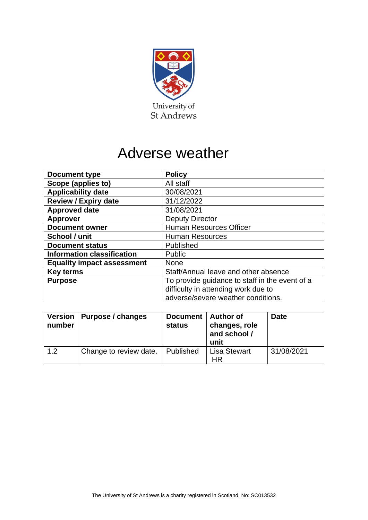

# Adverse weather

| <b>Document type</b>              | <b>Policy</b>                                  |  |
|-----------------------------------|------------------------------------------------|--|
| Scope (applies to)                | All staff                                      |  |
| <b>Applicability date</b>         | 30/08/2021                                     |  |
| <b>Review / Expiry date</b>       | 31/12/2022                                     |  |
| <b>Approved date</b>              | 31/08/2021                                     |  |
| <b>Approver</b>                   | <b>Deputy Director</b>                         |  |
| <b>Document owner</b>             | <b>Human Resources Officer</b>                 |  |
| School / unit                     | <b>Human Resources</b>                         |  |
| <b>Document status</b>            | Published                                      |  |
| <b>Information classification</b> | Public                                         |  |
| <b>Equality impact assessment</b> | <b>None</b>                                    |  |
| <b>Key terms</b>                  | Staff/Annual leave and other absence           |  |
| <b>Purpose</b>                    | To provide guidance to staff in the event of a |  |
|                                   | difficulty in attending work due to            |  |
|                                   | adverse/severe weather conditions.             |  |

| number | Version   Purpose / changes | Document   Author of<br><b>status</b> | changes, role<br>and school /<br>unit | <b>Date</b> |
|--------|-----------------------------|---------------------------------------|---------------------------------------|-------------|
| 1.2    | Change to review date.      | Published                             | <b>Lisa Stewart</b><br><b>HR</b>      | 31/08/2021  |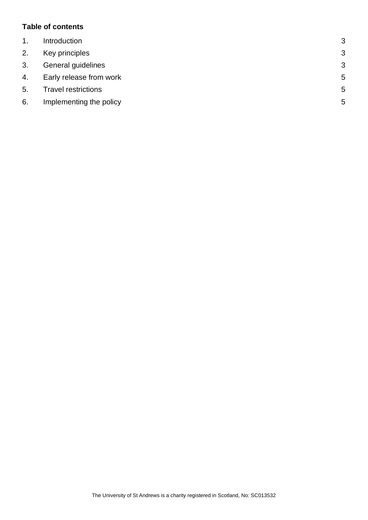## **Table of contents**

| $\mathbf{1}$ . | Introduction               | 3            |
|----------------|----------------------------|--------------|
| 2.             | Key principles             | 3            |
| 3.             | General guidelines         | $\mathbf{3}$ |
| 4.             | Early release from work    | 5            |
| 5.             | <b>Travel restrictions</b> | 5            |
| 6.             | Implementing the policy    | 5            |
|                |                            |              |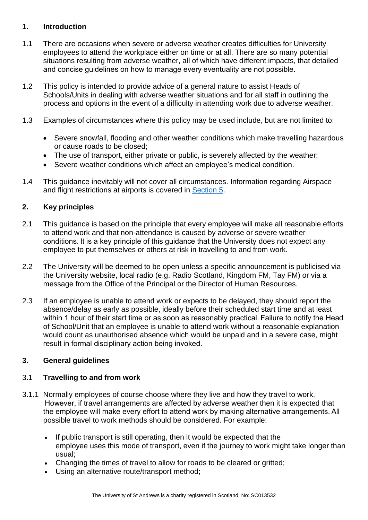## <span id="page-2-0"></span>**1. Introduction**

- 1.1 There are occasions when severe or adverse weather creates difficulties for University employees to attend the workplace either on time or at all. There are so many potential situations resulting from adverse weather, all of which have different impacts, that detailed and concise guidelines on how to manage every eventuality are not possible.
- 1.2 This policy is intended to provide advice of a general nature to assist Heads of Schools/Units in dealing with adverse weather situations and for all staff in outlining the process and options in the event of a difficulty in attending work due to adverse weather.
- 1.3 Examples of circumstances where this policy may be used include, but are not limited to:
	- Severe snowfall, flooding and other weather conditions which make travelling hazardous or cause roads to be closed;
	- The use of transport, either private or public, is severely affected by the weather;
	- Severe weather conditions which affect an employee's medical condition.
- 1.4 This guidance inevitably will not cover all circumstances. Information regarding Airspace and flight restrictions at airports is covered in [Section 5.](#page-4-1)

## <span id="page-2-1"></span>**2. Key principles**

- 2.1 This guidance is based on the principle that every employee will make all reasonable efforts to attend work and that non-attendance is caused by adverse or severe weather conditions. It is a key principle of this guidance that the University does not expect any employee to put themselves or others at risk in travelling to and from work.
- 2.2 The University will be deemed to be open unless a specific announcement is publicised via the University website, local radio (e.g. Radio Scotland, Kingdom FM, Tay FM) or via a message from the Office of the Principal or the Director of Human Resources.
- 2.3 If an employee is unable to attend work or expects to be delayed, they should report the absence/delay as early as possible, ideally before their scheduled start time and at least within 1 hour of their start time or as soon as reasonably practical. Failure to notify the Head of School/Unit that an employee is unable to attend work without a reasonable explanation would count as unauthorised absence which would be unpaid and in a severe case, might result in formal disciplinary action being invoked.

## <span id="page-2-2"></span>**3. General guidelines**

#### 3.1 **Travelling to and from work**

- 3.1.1 Normally employees of course choose where they live and how they travel to work.  However, if travel arrangements are affected by adverse weather then it is expected that the employee will make every effort to attend work by making alternative arrangements. All possible travel to work methods should be considered. For example:
	- If public transport is still operating, then it would be expected that the employee uses this mode of transport, even if the journey to work might take longer than usual;
	- Changing the times of travel to allow for roads to be cleared or gritted:
	- Using an alternative route/transport method;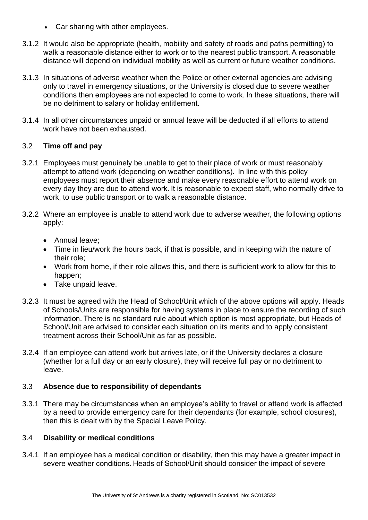- Car sharing with other employees.
- 3.1.2 It would also be appropriate (health, mobility and safety of roads and paths permitting) to walk a reasonable distance either to work or to the nearest public transport. A reasonable distance will depend on individual mobility as well as current or future weather conditions.
- 3.1.3 In situations of adverse weather when the Police or other external agencies are advising only to travel in emergency situations, or the University is closed due to severe weather conditions then employees are not expected to come to work. In these situations, there will be no detriment to salary or holiday entitlement.
- 3.1.4 In all other circumstances unpaid or annual leave will be deducted if all efforts to attend work have not been exhausted.

### 3.2 **Time off and pay**

- 3.2.1 Employees must genuinely be unable to get to their place of work or must reasonably attempt to attend work (depending on weather conditions).  In line with this policy employees must report their absence and make every reasonable effort to attend work on every day they are due to attend work. It is reasonable to expect staff, who normally drive to work, to use public transport or to walk a reasonable distance.
- 3.2.2 Where an employee is unable to attend work due to adverse weather, the following options apply:
	- Annual leave;
	- Time in lieu/work the hours back, if that is possible, and in keeping with the nature of their role;
	- Work from home, if their role allows this, and there is sufficient work to allow for this to happen;
	- Take unpaid leave.
- 3.2.3 It must be agreed with the Head of School/Unit which of the above options will apply. Heads of Schools/Units are responsible for having systems in place to ensure the recording of such information. There is no standard rule about which option is most appropriate, but Heads of School/Unit are advised to consider each situation on its merits and to apply consistent treatment across their School/Unit as far as possible.
- 3.2.4 If an employee can attend work but arrives late, or if the University declares a closure (whether for a full day or an early closure), they will receive full pay or no detriment to leave.

## 3.3 **Absence due to responsibility of dependants**

3.3.1 There may be circumstances when an employee's ability to travel or attend work is affected by a need to provide emergency care for their dependants (for example, school closures), then this is dealt with by the Special Leave Policy.

#### 3.4 **Disability or medical conditions**

3.4.1 If an employee has a medical condition or disability, then this may have a greater impact in severe weather conditions. Heads of School/Unit should consider the impact of severe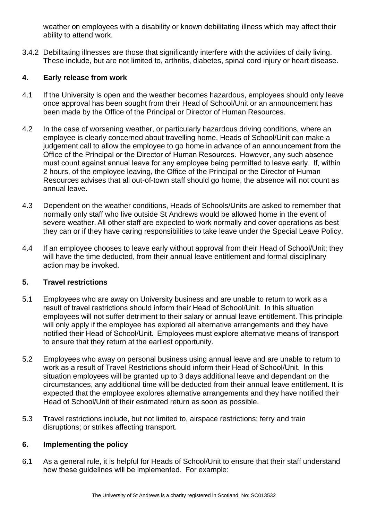weather on employees with a disability or known debilitating illness which may affect their ability to attend work.

3.4.2 Debilitating illnesses are those that significantly interfere with the activities of daily living. These include, but are not limited to, arthritis, diabetes, spinal cord injury or heart disease.

# <span id="page-4-0"></span>**4. Early release from work**

- 4.1 If the University is open and the weather becomes hazardous, employees should only leave once approval has been sought from their Head of School/Unit or an announcement has been made by the Office of the Principal or Director of Human Resources.
- 4.2 In the case of worsening weather, or particularly hazardous driving conditions, where an employee is clearly concerned about travelling home, Heads of School/Unit can make a judgement call to allow the employee to go home in advance of an announcement from the Office of the Principal or the Director of Human Resources.  However, any such absence must count against annual leave for any employee being permitted to leave early.  If, within 2 hours, of the employee leaving, the Office of the Principal or the Director of Human Resources advises that all out-of-town staff should go home, the absence will not count as annual leave.
- 4.3 Dependent on the weather conditions, Heads of Schools/Units are asked to remember that normally only staff who live outside St Andrews would be allowed home in the event of severe weather. All other staff are expected to work normally and cover operations as best they can or if they have caring responsibilities to take leave under the Special Leave Policy.
- 4.4 If an employee chooses to leave early without approval from their Head of School/Unit; they will have the time deducted, from their annual leave entitlement and formal disciplinary action may be invoked.

## <span id="page-4-1"></span>**5. Travel restrictions**

- 5.1 Employees who are away on University business and are unable to return to work as a result of travel restrictions should inform their Head of School/Unit.  In this situation employees will not suffer detriment to their salary or annual leave entitlement. This principle will only apply if the employee has explored all alternative arrangements and they have notified their Head of School/Unit.  Employees must explore alternative means of transport to ensure that they return at the earliest opportunity.
- 5.2 Employees who away on personal business using annual leave and are unable to return to work as a result of Travel Restrictions should inform their Head of School/Unit.  In this situation employees will be granted up to 3 days additional leave and dependant on the circumstances, any additional time will be deducted from their annual leave entitlement. It is expected that the employee explores alternative arrangements and they have notified their Head of School/Unit of their estimated return as soon as possible.
- 5.3 Travel restrictions include, but not limited to, airspace restrictions; ferry and train disruptions; or strikes affecting transport.

## <span id="page-4-2"></span>**6. Implementing the policy**

6.1 As a general rule, it is helpful for Heads of School/Unit to ensure that their staff understand how these guidelines will be implemented.  For example: